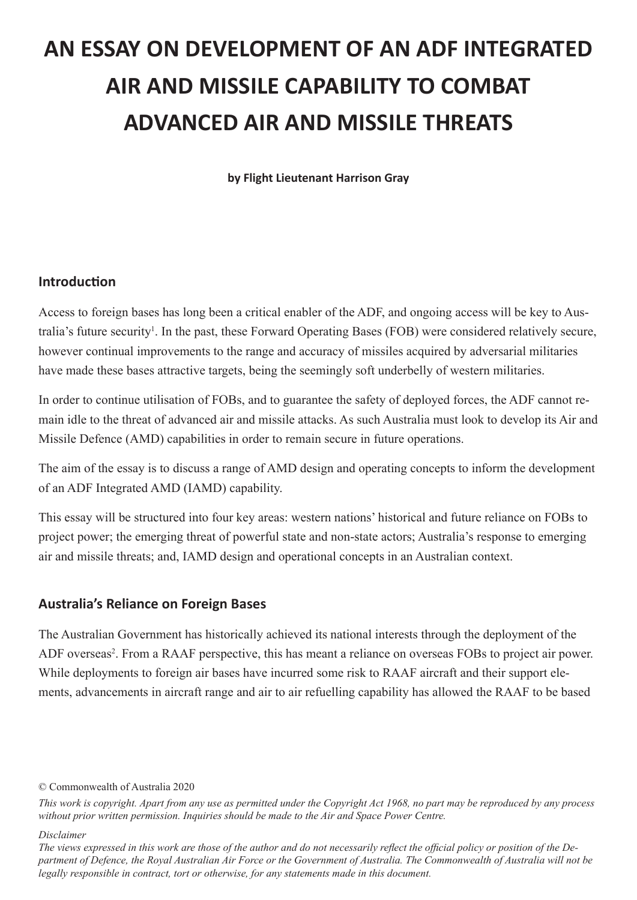# **AN ESSAY ON DEVELOPMENT OF AN ADF INTEGRATED AIR AND MISSILE CAPABILITY TO COMBAT ADVANCED AIR AND MISSILE THREATS**

**by Flight Lieutenant Harrison Gray**

#### **Introduction**

Access to foreign bases has long been a critical enabler of the ADF, and ongoing access will be key to Australia's future security<sup>1</sup>. In the past, these Forward Operating Bases (FOB) were considered relatively secure, however continual improvements to the range and accuracy of missiles acquired by adversarial militaries have made these bases attractive targets, being the seemingly soft underbelly of western militaries.

In order to continue utilisation of FOBs, and to guarantee the safety of deployed forces, the ADF cannot remain idle to the threat of advanced air and missile attacks. As such Australia must look to develop its Air and Missile Defence (AMD) capabilities in order to remain secure in future operations.

The aim of the essay is to discuss a range of AMD design and operating concepts to inform the development of an ADF Integrated AMD (IAMD) capability.

This essay will be structured into four key areas: western nations' historical and future reliance on FOBs to project power; the emerging threat of powerful state and non-state actors; Australia's response to emerging air and missile threats; and, IAMD design and operational concepts in an Australian context.

#### **Australia's Reliance on Foreign Bases**

The Australian Government has historically achieved its national interests through the deployment of the ADF overseas<sup>2</sup>. From a RAAF perspective, this has meant a reliance on overseas FOBs to project air power. While deployments to foreign air bases have incurred some risk to RAAF aircraft and their support elements, advancements in aircraft range and air to air refuelling capability has allowed the RAAF to be based

#### *Disclaimer*

*The views expressed in this work are those of the author and do not necessarily reflect the official policy or position of the Department of Defence, the Royal Australian Air Force or the Government of Australia. The Commonwealth of Australia will not be legally responsible in contract, tort or otherwise, for any statements made in this document.*

<sup>©</sup> Commonwealth of Australia 2020

*This work is copyright. Apart from any use as permitted under the Copyright Act 1968, no part may be reproduced by any process without prior written permission. Inquiries should be made to the Air and Space Power Centre.*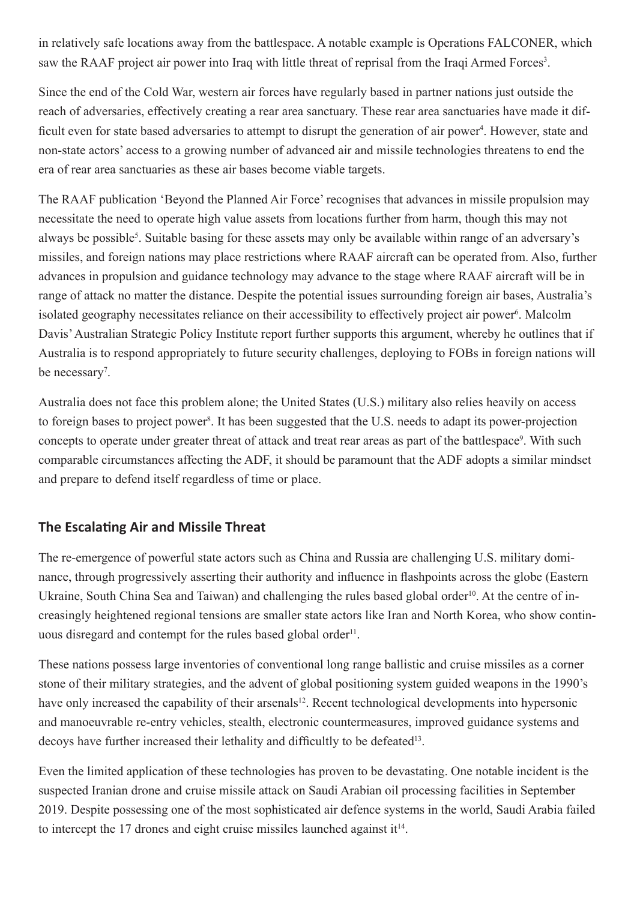in relatively safe locations away from the battlespace. A notable example is Operations FALCONER, which saw the RAAF project air power into Iraq with little threat of reprisal from the Iraqi Armed Forces<sup>3</sup>.

Since the end of the Cold War, western air forces have regularly based in partner nations just outside the reach of adversaries, effectively creating a rear area sanctuary. These rear area sanctuaries have made it difficult even for state based adversaries to attempt to disrupt the generation of air power<sup>4</sup>. However, state and non-state actors' access to a growing number of advanced air and missile technologies threatens to end the era of rear area sanctuaries as these air bases become viable targets.

The RAAF publication 'Beyond the Planned Air Force' recognises that advances in missile propulsion may necessitate the need to operate high value assets from locations further from harm, though this may not always be possible<sup>5</sup>. Suitable basing for these assets may only be available within range of an adversary's missiles, and foreign nations may place restrictions where RAAF aircraft can be operated from. Also, further advances in propulsion and guidance technology may advance to the stage where RAAF aircraft will be in range of attack no matter the distance. Despite the potential issues surrounding foreign air bases, Australia's isolated geography necessitates reliance on their accessibility to effectively project air power<sup>6</sup>. Malcolm Davis' Australian Strategic Policy Institute report further supports this argument, whereby he outlines that if Australia is to respond appropriately to future security challenges, deploying to FOBs in foreign nations will be necessary<sup>7</sup>.

Australia does not face this problem alone; the United States (U.S.) military also relies heavily on access to foreign bases to project power<sup>8</sup>. It has been suggested that the U.S. needs to adapt its power-projection concepts to operate under greater threat of attack and treat rear areas as part of the battlespace<sup>9</sup>. With such comparable circumstances affecting the ADF, it should be paramount that the ADF adopts a similar mindset and prepare to defend itself regardless of time or place.

# **The Escalating Air and Missile Threat**

The re-emergence of powerful state actors such as China and Russia are challenging U.S. military dominance, through progressively asserting their authority and influence in flashpoints across the globe (Eastern Ukraine, South China Sea and Taiwan) and challenging the rules based global order<sup>10</sup>. At the centre of increasingly heightened regional tensions are smaller state actors like Iran and North Korea, who show continuous disregard and contempt for the rules based global order<sup>11</sup>.

These nations possess large inventories of conventional long range ballistic and cruise missiles as a corner stone of their military strategies, and the advent of global positioning system guided weapons in the 1990's have only increased the capability of their arsenals<sup>12</sup>. Recent technological developments into hypersonic and manoeuvrable re-entry vehicles, stealth, electronic countermeasures, improved guidance systems and decoys have further increased their lethality and difficultly to be defeated<sup>13</sup>.

Even the limited application of these technologies has proven to be devastating. One notable incident is the suspected Iranian drone and cruise missile attack on Saudi Arabian oil processing facilities in September 2019. Despite possessing one of the most sophisticated air defence systems in the world, Saudi Arabia failed to intercept the 17 drones and eight cruise missiles launched against  $it^{14}$ .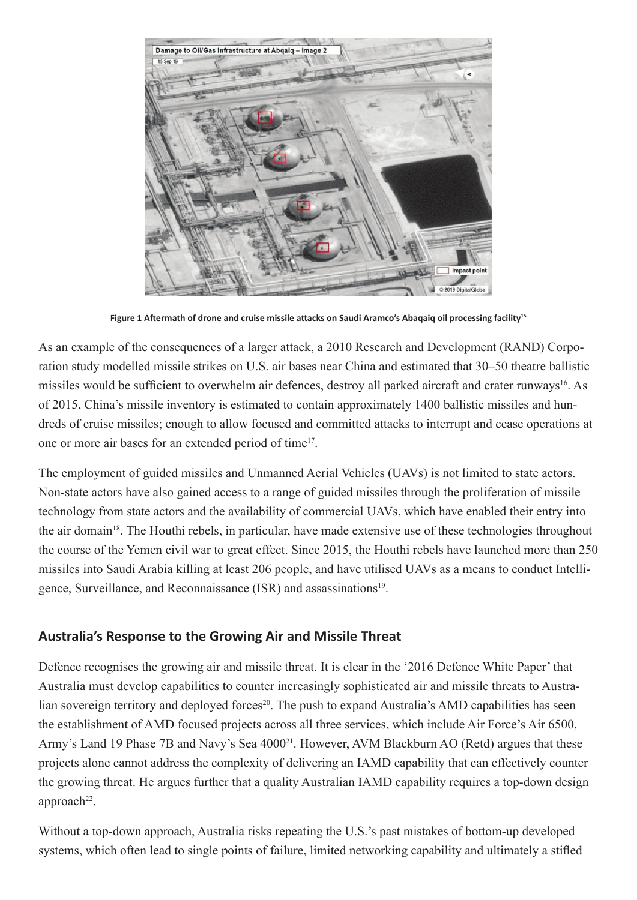

**Figure 1 Aftermath of drone and cruise missile attacks on Saudi Aramco's Abaqaiq oil processing facility<sup>15</sup>**

As an example of the consequences of a larger attack, a 2010 Research and Development (RAND) Corporation study modelled missile strikes on U.S. air bases near China and estimated that 30–50 theatre ballistic missiles would be sufficient to overwhelm air defences, destroy all parked aircraft and crater runways<sup>16</sup>. As of 2015, China's missile inventory is estimated to contain approximately 1400 ballistic missiles and hundreds of cruise missiles; enough to allow focused and committed attacks to interrupt and cease operations at one or more air bases for an extended period of time17.

The employment of guided missiles and Unmanned Aerial Vehicles (UAVs) is not limited to state actors. Non-state actors have also gained access to a range of guided missiles through the proliferation of missile technology from state actors and the availability of commercial UAVs, which have enabled their entry into the air domain<sup>18</sup>. The Houthi rebels, in particular, have made extensive use of these technologies throughout the course of the Yemen civil war to great effect. Since 2015, the Houthi rebels have launched more than 250 missiles into Saudi Arabia killing at least 206 people, and have utilised UAVs as a means to conduct Intelligence, Surveillance, and Reconnaissance (ISR) and assassinations<sup>19</sup>.

### **Australia's Response to the Growing Air and Missile Threat**

Defence recognises the growing air and missile threat. It is clear in the '2016 Defence White Paper' that Australia must develop capabilities to counter increasingly sophisticated air and missile threats to Australian sovereign territory and deployed forces<sup>20</sup>. The push to expand Australia's AMD capabilities has seen the establishment of AMD focused projects across all three services, which include Air Force's Air 6500, Army's Land 19 Phase 7B and Navy's Sea 4000<sup>21</sup>. However, AVM Blackburn AO (Retd) argues that these projects alone cannot address the complexity of delivering an IAMD capability that can effectively counter the growing threat. He argues further that a quality Australian IAMD capability requires a top-down design  $approach<sup>22</sup>$ .

Without a top-down approach, Australia risks repeating the U.S.'s past mistakes of bottom-up developed systems, which often lead to single points of failure, limited networking capability and ultimately a stifled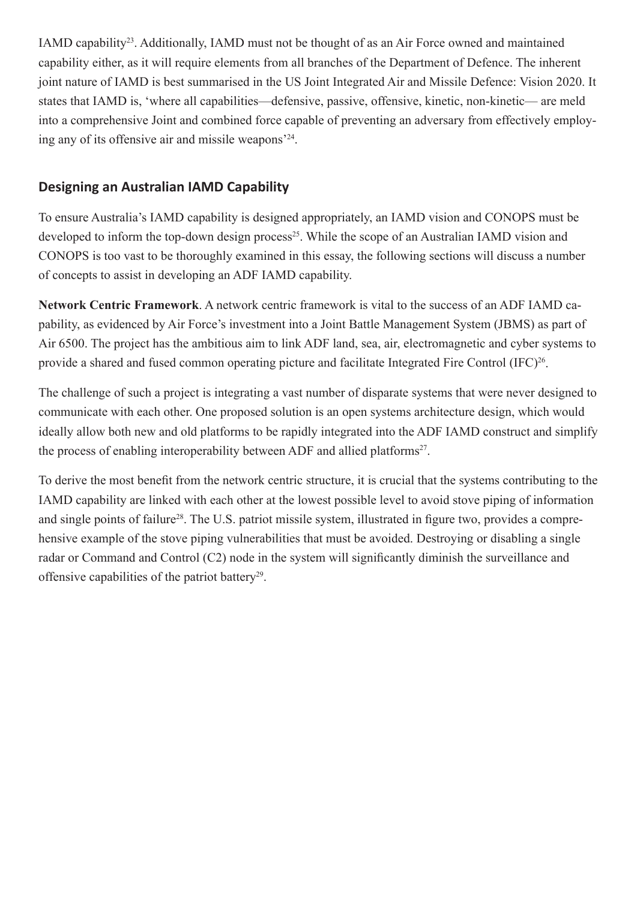IAMD capability23. Additionally, IAMD must not be thought of as an Air Force owned and maintained capability either, as it will require elements from all branches of the Department of Defence. The inherent joint nature of IAMD is best summarised in the US Joint Integrated Air and Missile Defence: Vision 2020. It states that IAMD is, 'where all capabilities—defensive, passive, offensive, kinetic, non-kinetic— are meld into a comprehensive Joint and combined force capable of preventing an adversary from effectively employing any of its offensive air and missile weapons'24.

# **Designing an Australian IAMD Capability**

To ensure Australia's IAMD capability is designed appropriately, an IAMD vision and CONOPS must be developed to inform the top-down design process<sup>25</sup>. While the scope of an Australian IAMD vision and CONOPS is too vast to be thoroughly examined in this essay, the following sections will discuss a number of concepts to assist in developing an ADF IAMD capability.

**Network Centric Framework**. A network centric framework is vital to the success of an ADF IAMD capability, as evidenced by Air Force's investment into a Joint Battle Management System (JBMS) as part of Air 6500. The project has the ambitious aim to link ADF land, sea, air, electromagnetic and cyber systems to provide a shared and fused common operating picture and facilitate Integrated Fire Control (IFC)<sup>26</sup>.

The challenge of such a project is integrating a vast number of disparate systems that were never designed to communicate with each other. One proposed solution is an open systems architecture design, which would ideally allow both new and old platforms to be rapidly integrated into the ADF IAMD construct and simplify the process of enabling interoperability between ADF and allied platforms<sup>27</sup>.

To derive the most benefit from the network centric structure, it is crucial that the systems contributing to the IAMD capability are linked with each other at the lowest possible level to avoid stove piping of information and single points of failure<sup>28</sup>. The U.S. patriot missile system, illustrated in figure two, provides a comprehensive example of the stove piping vulnerabilities that must be avoided. Destroying or disabling a single radar or Command and Control (C2) node in the system will significantly diminish the surveillance and offensive capabilities of the patriot battery<sup>29</sup>.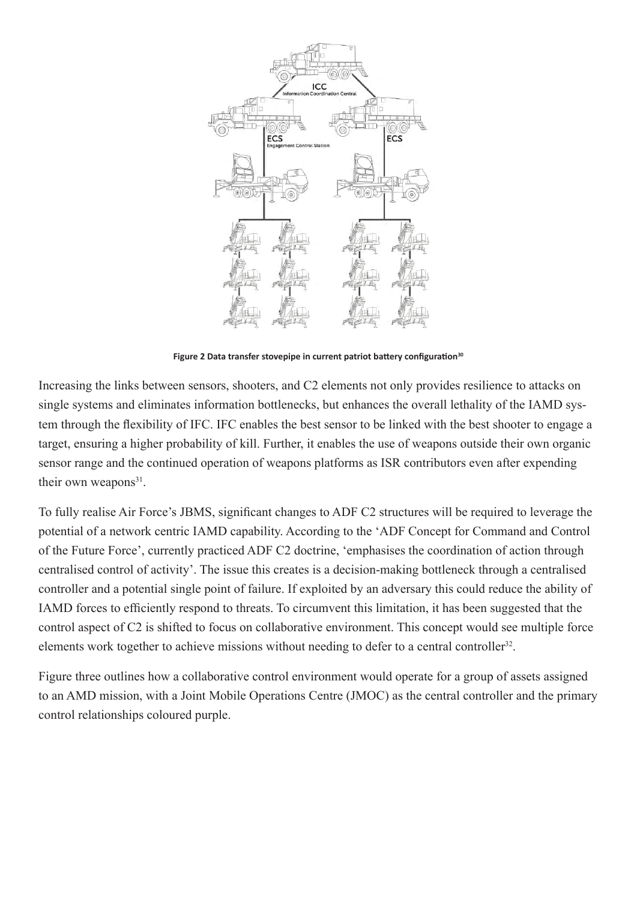

**Figure 2 Data transfer stovepipe in current patriot battery configuration<sup>30</sup>**

Increasing the links between sensors, shooters, and C2 elements not only provides resilience to attacks on single systems and eliminates information bottlenecks, but enhances the overall lethality of the IAMD system through the flexibility of IFC. IFC enables the best sensor to be linked with the best shooter to engage a target, ensuring a higher probability of kill. Further, it enables the use of weapons outside their own organic sensor range and the continued operation of weapons platforms as ISR contributors even after expending their own weapons<sup>31</sup>.

To fully realise Air Force's JBMS, significant changes to ADF C2 structures will be required to leverage the potential of a network centric IAMD capability. According to the 'ADF Concept for Command and Control of the Future Force', currently practiced ADF C2 doctrine, 'emphasises the coordination of action through centralised control of activity'. The issue this creates is a decision-making bottleneck through a centralised controller and a potential single point of failure. If exploited by an adversary this could reduce the ability of IAMD forces to efficiently respond to threats. To circumvent this limitation, it has been suggested that the control aspect of C2 is shifted to focus on collaborative environment. This concept would see multiple force elements work together to achieve missions without needing to defer to a central controller<sup>32</sup>.

Figure three outlines how a collaborative control environment would operate for a group of assets assigned to an AMD mission, with a Joint Mobile Operations Centre (JMOC) as the central controller and the primary control relationships coloured purple.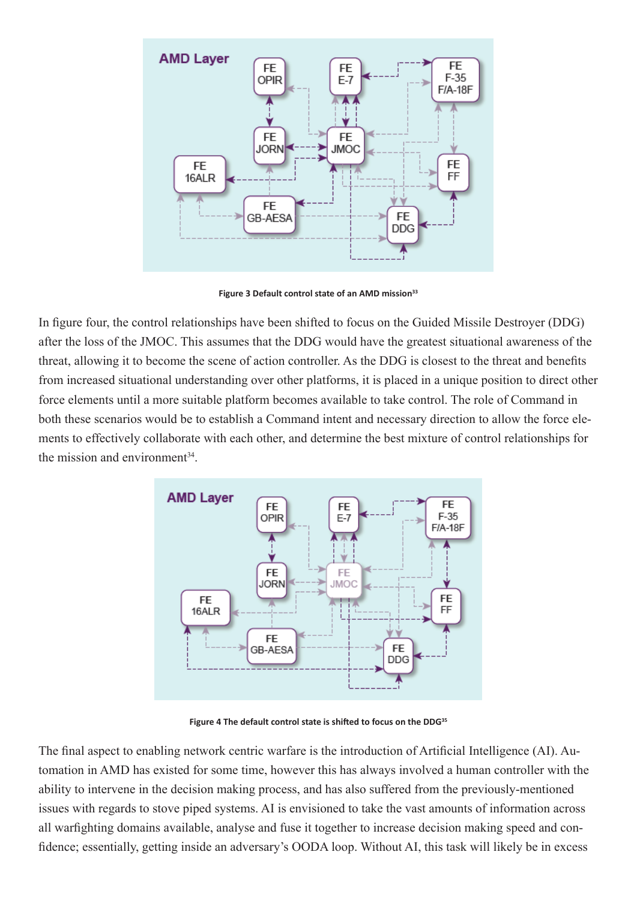

**Figure 3 Default control state of an AMD mission<sup>33</sup>**

In figure four, the control relationships have been shifted to focus on the Guided Missile Destroyer (DDG) after the loss of the JMOC. This assumes that the DDG would have the greatest situational awareness of the threat, allowing it to become the scene of action controller. As the DDG is closest to the threat and benefits from increased situational understanding over other platforms, it is placed in a unique position to direct other force elements until a more suitable platform becomes available to take control. The role of Command in both these scenarios would be to establish a Command intent and necessary direction to allow the force elements to effectively collaborate with each other, and determine the best mixture of control relationships for the mission and environment $34$ 



**Figure 4 The default control state is shifted to focus on the DDG<sup>35</sup>**

The final aspect to enabling network centric warfare is the introduction of Artificial Intelligence (AI). Automation in AMD has existed for some time, however this has always involved a human controller with the ability to intervene in the decision making process, and has also suffered from the previously-mentioned issues with regards to stove piped systems. AI is envisioned to take the vast amounts of information across all warfighting domains available, analyse and fuse it together to increase decision making speed and confidence; essentially, getting inside an adversary's OODA loop. Without AI, this task will likely be in excess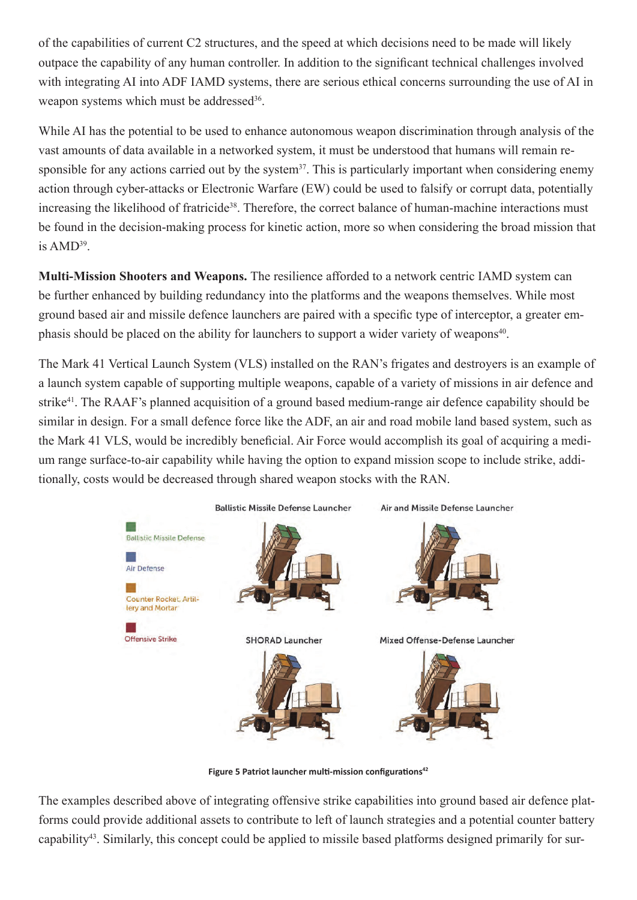of the capabilities of current C2 structures, and the speed at which decisions need to be made will likely outpace the capability of any human controller. In addition to the significant technical challenges involved with integrating AI into ADF IAMD systems, there are serious ethical concerns surrounding the use of AI in weapon systems which must be addressed<sup>36</sup>.

While AI has the potential to be used to enhance autonomous weapon discrimination through analysis of the vast amounts of data available in a networked system, it must be understood that humans will remain responsible for any actions carried out by the system<sup>37</sup>. This is particularly important when considering enemy action through cyber-attacks or Electronic Warfare (EW) could be used to falsify or corrupt data, potentially increasing the likelihood of fratricide<sup>38</sup>. Therefore, the correct balance of human-machine interactions must be found in the decision-making process for kinetic action, more so when considering the broad mission that is  $AMD^{39}$ .

**Multi-Mission Shooters and Weapons.** The resilience afforded to a network centric IAMD system can be further enhanced by building redundancy into the platforms and the weapons themselves. While most ground based air and missile defence launchers are paired with a specific type of interceptor, a greater emphasis should be placed on the ability for launchers to support a wider variety of weapons<sup>40</sup>.

The Mark 41 Vertical Launch System (VLS) installed on the RAN's frigates and destroyers is an example of a launch system capable of supporting multiple weapons, capable of a variety of missions in air defence and strike41. The RAAF's planned acquisition of a ground based medium-range air defence capability should be similar in design. For a small defence force like the ADF, an air and road mobile land based system, such as the Mark 41 VLS, would be incredibly beneficial. Air Force would accomplish its goal of acquiring a medium range surface-to-air capability while having the option to expand mission scope to include strike, additionally, costs would be decreased through shared weapon stocks with the RAN.



**Figure 5 Patriot launcher multi-mission configurations<sup>42</sup>**

The examples described above of integrating offensive strike capabilities into ground based air defence platforms could provide additional assets to contribute to left of launch strategies and a potential counter battery capability43. Similarly, this concept could be applied to missile based platforms designed primarily for sur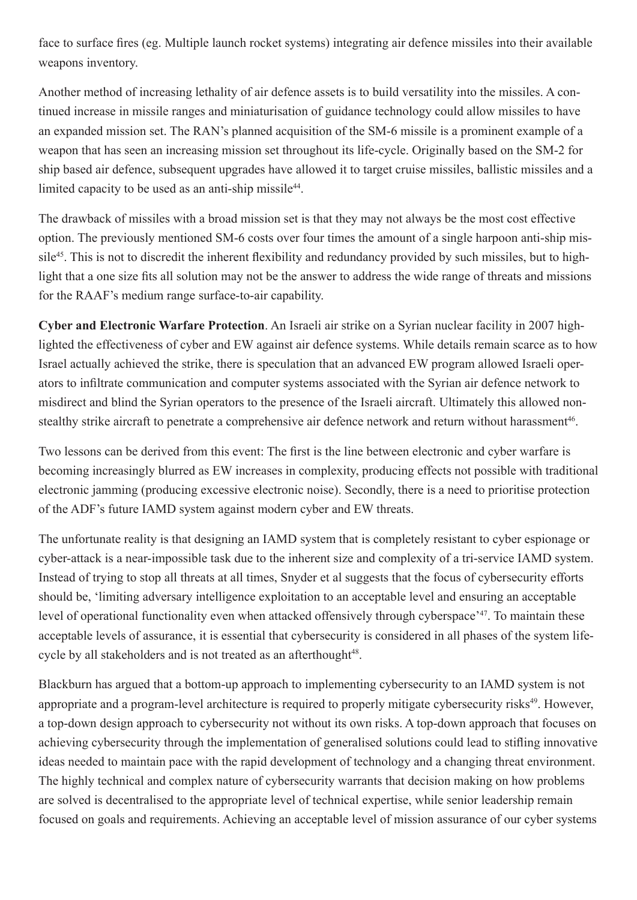face to surface fires (eg. Multiple launch rocket systems) integrating air defence missiles into their available weapons inventory.

Another method of increasing lethality of air defence assets is to build versatility into the missiles. A continued increase in missile ranges and miniaturisation of guidance technology could allow missiles to have an expanded mission set. The RAN's planned acquisition of the SM-6 missile is a prominent example of a weapon that has seen an increasing mission set throughout its life-cycle. Originally based on the SM-2 for ship based air defence, subsequent upgrades have allowed it to target cruise missiles, ballistic missiles and a limited capacity to be used as an anti-ship missile<sup>44</sup>.

The drawback of missiles with a broad mission set is that they may not always be the most cost effective option. The previously mentioned SM-6 costs over four times the amount of a single harpoon anti-ship missile<sup>45</sup>. This is not to discredit the inherent flexibility and redundancy provided by such missiles, but to highlight that a one size fits all solution may not be the answer to address the wide range of threats and missions for the RAAF's medium range surface-to-air capability.

**Cyber and Electronic Warfare Protection**. An Israeli air strike on a Syrian nuclear facility in 2007 highlighted the effectiveness of cyber and EW against air defence systems. While details remain scarce as to how Israel actually achieved the strike, there is speculation that an advanced EW program allowed Israeli operators to infiltrate communication and computer systems associated with the Syrian air defence network to misdirect and blind the Syrian operators to the presence of the Israeli aircraft. Ultimately this allowed nonstealthy strike aircraft to penetrate a comprehensive air defence network and return without harassment<sup>46</sup>.

Two lessons can be derived from this event: The first is the line between electronic and cyber warfare is becoming increasingly blurred as EW increases in complexity, producing effects not possible with traditional electronic jamming (producing excessive electronic noise). Secondly, there is a need to prioritise protection of the ADF's future IAMD system against modern cyber and EW threats.

The unfortunate reality is that designing an IAMD system that is completely resistant to cyber espionage or cyber-attack is a near-impossible task due to the inherent size and complexity of a tri-service IAMD system. Instead of trying to stop all threats at all times, Snyder et al suggests that the focus of cybersecurity efforts should be, 'limiting adversary intelligence exploitation to an acceptable level and ensuring an acceptable level of operational functionality even when attacked offensively through cyberspace'47. To maintain these acceptable levels of assurance, it is essential that cybersecurity is considered in all phases of the system lifecycle by all stakeholders and is not treated as an afterthought<sup>48</sup>.

Blackburn has argued that a bottom-up approach to implementing cybersecurity to an IAMD system is not appropriate and a program-level architecture is required to properly mitigate cybersecurity risks<sup>49</sup>. However, a top-down design approach to cybersecurity not without its own risks. A top-down approach that focuses on achieving cybersecurity through the implementation of generalised solutions could lead to stifling innovative ideas needed to maintain pace with the rapid development of technology and a changing threat environment. The highly technical and complex nature of cybersecurity warrants that decision making on how problems are solved is decentralised to the appropriate level of technical expertise, while senior leadership remain focused on goals and requirements. Achieving an acceptable level of mission assurance of our cyber systems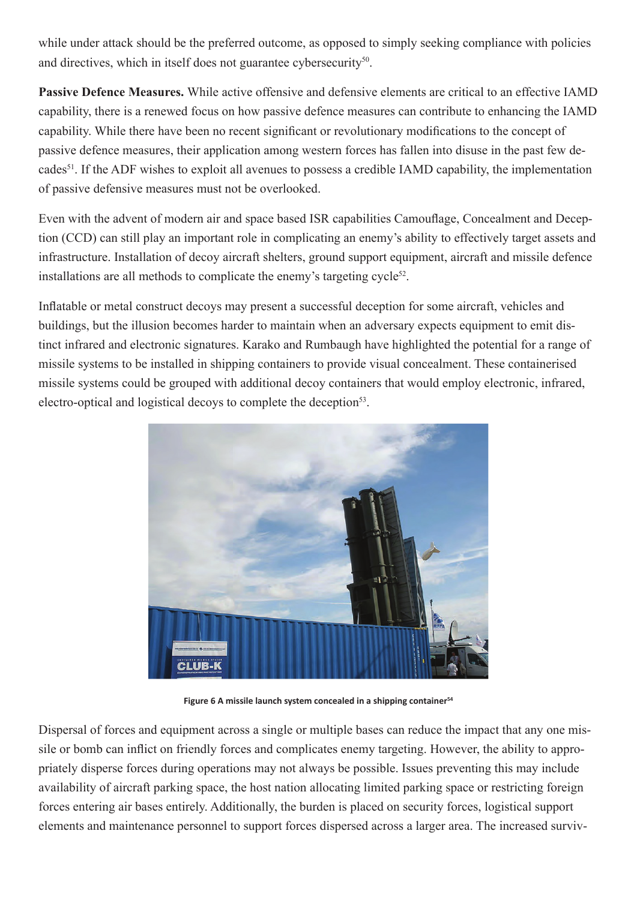while under attack should be the preferred outcome, as opposed to simply seeking compliance with policies and directives, which in itself does not guarantee cybersecurity<sup>50</sup>.

**Passive Defence Measures.** While active offensive and defensive elements are critical to an effective IAMD capability, there is a renewed focus on how passive defence measures can contribute to enhancing the IAMD capability. While there have been no recent significant or revolutionary modifications to the concept of passive defence measures, their application among western forces has fallen into disuse in the past few decades<sup>51</sup>. If the ADF wishes to exploit all avenues to possess a credible IAMD capability, the implementation of passive defensive measures must not be overlooked.

Even with the advent of modern air and space based ISR capabilities Camouflage, Concealment and Deception (CCD) can still play an important role in complicating an enemy's ability to effectively target assets and infrastructure. Installation of decoy aircraft shelters, ground support equipment, aircraft and missile defence installations are all methods to complicate the enemy's targeting cycle<sup>52</sup>.

Inflatable or metal construct decoys may present a successful deception for some aircraft, vehicles and buildings, but the illusion becomes harder to maintain when an adversary expects equipment to emit distinct infrared and electronic signatures. Karako and Rumbaugh have highlighted the potential for a range of missile systems to be installed in shipping containers to provide visual concealment. These containerised missile systems could be grouped with additional decoy containers that would employ electronic, infrared, electro-optical and logistical decoys to complete the deception<sup>53</sup>.



**Figure 6 A missile launch system concealed in a shipping container<sup>54</sup>**

Dispersal of forces and equipment across a single or multiple bases can reduce the impact that any one missile or bomb can inflict on friendly forces and complicates enemy targeting. However, the ability to appropriately disperse forces during operations may not always be possible. Issues preventing this may include availability of aircraft parking space, the host nation allocating limited parking space or restricting foreign forces entering air bases entirely. Additionally, the burden is placed on security forces, logistical support elements and maintenance personnel to support forces dispersed across a larger area. The increased surviv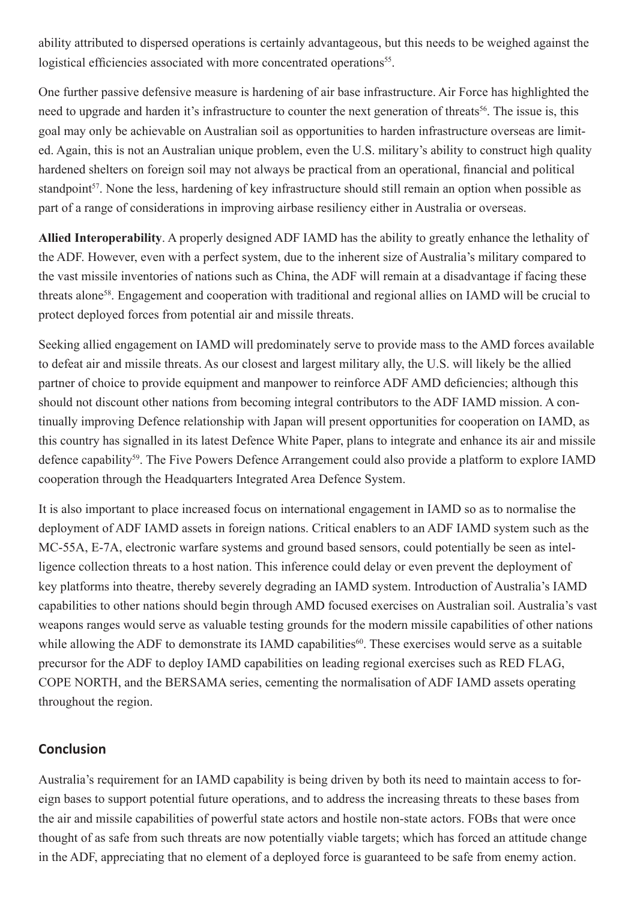ability attributed to dispersed operations is certainly advantageous, but this needs to be weighed against the logistical efficiencies associated with more concentrated operations<sup>55</sup>.

One further passive defensive measure is hardening of air base infrastructure. Air Force has highlighted the need to upgrade and harden it's infrastructure to counter the next generation of threats<sup>56</sup>. The issue is, this goal may only be achievable on Australian soil as opportunities to harden infrastructure overseas are limited. Again, this is not an Australian unique problem, even the U.S. military's ability to construct high quality hardened shelters on foreign soil may not always be practical from an operational, financial and political standpoint<sup>57</sup>. None the less, hardening of key infrastructure should still remain an option when possible as part of a range of considerations in improving airbase resiliency either in Australia or overseas.

**Allied Interoperability**. A properly designed ADF IAMD has the ability to greatly enhance the lethality of the ADF. However, even with a perfect system, due to the inherent size of Australia's military compared to the vast missile inventories of nations such as China, the ADF will remain at a disadvantage if facing these threats alone58. Engagement and cooperation with traditional and regional allies on IAMD will be crucial to protect deployed forces from potential air and missile threats.

Seeking allied engagement on IAMD will predominately serve to provide mass to the AMD forces available to defeat air and missile threats. As our closest and largest military ally, the U.S. will likely be the allied partner of choice to provide equipment and manpower to reinforce ADF AMD deficiencies; although this should not discount other nations from becoming integral contributors to the ADF IAMD mission. A continually improving Defence relationship with Japan will present opportunities for cooperation on IAMD, as this country has signalled in its latest Defence White Paper, plans to integrate and enhance its air and missile defence capability<sup>59</sup>. The Five Powers Defence Arrangement could also provide a platform to explore IAMD cooperation through the Headquarters Integrated Area Defence System.

It is also important to place increased focus on international engagement in IAMD so as to normalise the deployment of ADF IAMD assets in foreign nations. Critical enablers to an ADF IAMD system such as the MC-55A, E-7A, electronic warfare systems and ground based sensors, could potentially be seen as intelligence collection threats to a host nation. This inference could delay or even prevent the deployment of key platforms into theatre, thereby severely degrading an IAMD system. Introduction of Australia's IAMD capabilities to other nations should begin through AMD focused exercises on Australian soil. Australia's vast weapons ranges would serve as valuable testing grounds for the modern missile capabilities of other nations while allowing the ADF to demonstrate its IAMD capabilities<sup>60</sup>. These exercises would serve as a suitable precursor for the ADF to deploy IAMD capabilities on leading regional exercises such as RED FLAG, COPE NORTH, and the BERSAMA series, cementing the normalisation of ADF IAMD assets operating throughout the region.

# **Conclusion**

Australia's requirement for an IAMD capability is being driven by both its need to maintain access to foreign bases to support potential future operations, and to address the increasing threats to these bases from the air and missile capabilities of powerful state actors and hostile non-state actors. FOBs that were once thought of as safe from such threats are now potentially viable targets; which has forced an attitude change in the ADF, appreciating that no element of a deployed force is guaranteed to be safe from enemy action.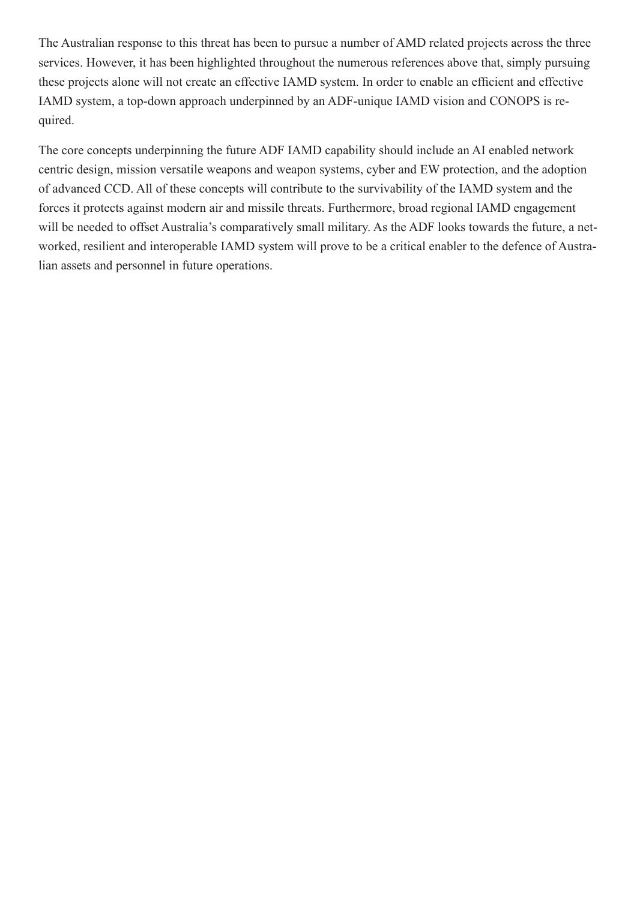The Australian response to this threat has been to pursue a number of AMD related projects across the three services. However, it has been highlighted throughout the numerous references above that, simply pursuing these projects alone will not create an effective IAMD system. In order to enable an efficient and effective IAMD system, a top-down approach underpinned by an ADF-unique IAMD vision and CONOPS is required.

The core concepts underpinning the future ADF IAMD capability should include an AI enabled network centric design, mission versatile weapons and weapon systems, cyber and EW protection, and the adoption of advanced CCD. All of these concepts will contribute to the survivability of the IAMD system and the forces it protects against modern air and missile threats. Furthermore, broad regional IAMD engagement will be needed to offset Australia's comparatively small military. As the ADF looks towards the future, a networked, resilient and interoperable IAMD system will prove to be a critical enabler to the defence of Australian assets and personnel in future operations.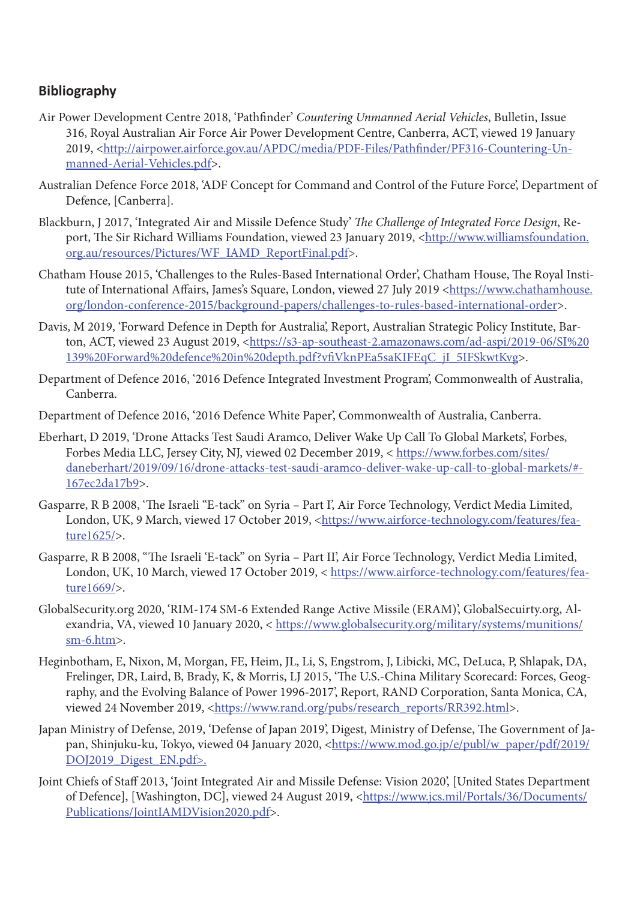# **Bibliography**

- Air Power Development Centre 2018, 'Pathfinder' *Countering Unmanned Aerial Vehicles*, Bulletin, Issue 316, Royal Australian Air Force Air Power Development Centre, Canberra, ACT, viewed 19 January 2019, <[http://airpower.airforce.gov.au/APDC/media/PDF-Files/Pathfinder/PF316-Countering-Un](http://airpower.airforce.gov.au/APDC/media/PDF-Files/Pathfinder/PF316-Countering-Unmanned-Aerial-Vehicles.pdf)[manned-Aerial-Vehicles.pdf](http://airpower.airforce.gov.au/APDC/media/PDF-Files/Pathfinder/PF316-Countering-Unmanned-Aerial-Vehicles.pdf)>.
- Australian Defence Force 2018, 'ADF Concept for Command and Control of the Future Force', Department of Defence, [Canberra].
- Blackburn, J 2017, 'Integrated Air and Missile Defence Study' *The Challenge of Integrated Force Design*, Report, The Sir Richard Williams Foundation, viewed 23 January 2019, [<http://www.williamsfoundation.](http://www.williamsfoundation.org.au/resources/Pictures/WF_IAMD_ReportFinal.pdf) [org.au/resources/Pictures/WF\\_IAMD\\_ReportFinal.pdf](http://www.williamsfoundation.org.au/resources/Pictures/WF_IAMD_ReportFinal.pdf)>.
- Chatham House 2015, 'Challenges to the Rules-Based International Order', Chatham House, The Royal Institute of International Affairs, James's Square, London, viewed 27 July 2019 [<https://www.chathamhouse.](https://www.chathamhouse.org/london-conference-2015/background-papers/challenges-to-rules-based-international-order) [org/london-conference-2015/background-papers/challenges-to-rules-based-international-order>](https://www.chathamhouse.org/london-conference-2015/background-papers/challenges-to-rules-based-international-order).
- Davis, M 2019, 'Forward Defence in Depth for Australia', Report, Australian Strategic Policy Institute, Bar-ton, ACT, viewed 23 August 2019, [<https://s3-ap-southeast-2.amazonaws.com/ad-aspi/2019-06/SI%20](https://s3-ap-southeast-2.amazonaws.com/ad-aspi/2019-06/SI%20139%20Forward%20defence%20in%20depth.pdf?vfiVknPEa5saKIFEqC_jI_5IFSkwtKvg) [139%20Forward%20defence%20in%20depth.pdf?vfiVknPEa5saKIFEqC\\_jI\\_5IFSkwtKvg>](https://s3-ap-southeast-2.amazonaws.com/ad-aspi/2019-06/SI%20139%20Forward%20defence%20in%20depth.pdf?vfiVknPEa5saKIFEqC_jI_5IFSkwtKvg).
- Department of Defence 2016, '2016 Defence Integrated Investment Program', Commonwealth of Australia, Canberra.
- Department of Defence 2016, '2016 Defence White Paper', Commonwealth of Australia, Canberra.
- Eberhart, D 2019, 'Drone Attacks Test Saudi Aramco, Deliver Wake Up Call To Global Markets', Forbes, Forbes Media LLC, Jersey City, NJ, viewed 02 December 2019, < https://www.forbes.com/sites/ daneberhart/2019/09/16/drone-attacks-test-saudi-aramco-deliver-wake-up-call-to-global-markets/#- 167ec2da17b9>.
- Gasparre, R B 2008, 'The Israeli "E-tack" on Syria Part I', Air Force Technology, Verdict Media Limited, London, UK, 9 March, viewed 17 October 2019, <[https://www.airforce-technology.com/features/fea](https://www.airforce-technology.com/features/feature1625/)[ture1625/>](https://www.airforce-technology.com/features/feature1625/).
- Gasparre, R B 2008, "The Israeli 'E-tack" on Syria Part II', Air Force Technology, Verdict Media Limited, London, UK, 10 March, viewed 17 October 2019, < [https://www.airforce-technology.com/features/fea](https://www.airforce-technology.com/features/feature1669/)[ture1669/>](https://www.airforce-technology.com/features/feature1669/).
- GlobalSecurity.org 2020, 'RIM-174 SM-6 Extended Range Active Missile (ERAM)', GlobalSecuirty.org, Alexandria, VA, viewed 10 January 2020, < [https://www.globalsecurity.org/military/systems/munitions/](https://www.globalsecurity.org/military/systems/munitions/sm-6.htm) [sm-6.htm](https://www.globalsecurity.org/military/systems/munitions/sm-6.htm)>.
- Heginbotham, E, Nixon, M, Morgan, FE, Heim, JL, Li, S, Engstrom, J, Libicki, MC, DeLuca, P, Shlapak, DA, Frelinger, DR, Laird, B, Brady, K, & Morris, LJ 2015, 'The U.S.-China Military Scorecard: Forces, Geography, and the Evolving Balance of Power 1996-2017', Report, RAND Corporation, Santa Monica, CA, viewed 24 November 2019, <[https://www.rand.org/pubs/research\\_reports/RR392.html](https://www.rand.org/pubs/research_reports/RR392.html)>.
- Japan Ministry of Defense, 2019, 'Defense of Japan 2019', Digest, Ministry of Defense, The Government of Japan, Shinjuku-ku, Tokyo, viewed 04 January 2020, [<https://www.mod.go.jp/e/publ/w\\_paper/pdf/2019/](https://www.mod.go.jp/e/publ/w_paper/pdf/2019/DOJ2019_Digest_EN.pdf) DOJ2019 Digest EN.pdf>.
- Joint Chiefs of Staff 2013, 'Joint Integrated Air and Missile Defense: Vision 2020', [United States Department of Defence], [Washington, DC], viewed 24 August 2019, [<https://www.jcs.mil/Portals/36/Documents/](https://www.jcs.mil/Portals/36/Documents/Publications/JointIAMDVision2020.pdf) [Publications/JointIAMDVision2020.pdf](https://www.jcs.mil/Portals/36/Documents/Publications/JointIAMDVision2020.pdf)>.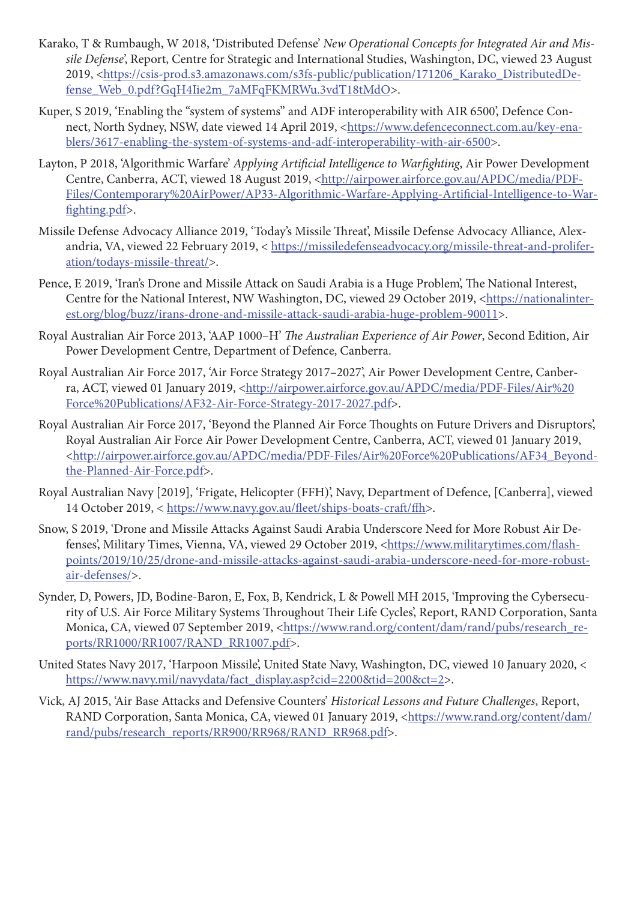- Karako, T & Rumbaugh, W 2018, 'Distributed Defense' *New Operational Concepts for Integrated Air and Missile Defense*', Report, Centre for Strategic and International Studies, Washington, DC, viewed 23 August 2019, <[https://csis-prod.s3.amazonaws.com/s3fs-public/publication/171206\\_Karako\\_DistributedDe](https://csis-prod.s3.amazonaws.com/s3fs-public/publication/171206_Karako_DistributedDefense_Web_0.pdf?GqH4Iie2m_7aMFqFKMRWu.3vdT18tMdO)[fense\\_Web\\_0.pdf?GqH4Iie2m\\_7aMFqFKMRWu.3vdT18tMdO>](https://csis-prod.s3.amazonaws.com/s3fs-public/publication/171206_Karako_DistributedDefense_Web_0.pdf?GqH4Iie2m_7aMFqFKMRWu.3vdT18tMdO).
- Kuper, S 2019, 'Enabling the "system of systems" and ADF interoperability with AIR 6500', Defence Connect, North Sydney, NSW, date viewed 14 April 2019, <[https://www.defenceconnect.com.au/key-ena](https://www.defenceconnect.com.au/key-enablers/3617-enabling-the-system-of-systems-and-adf-interoperability-with-air-6500)[blers/3617-enabling-the-system-of-systems-and-adf-interoperability-with-air-6500>](https://www.defenceconnect.com.au/key-enablers/3617-enabling-the-system-of-systems-and-adf-interoperability-with-air-6500).
- Layton, P 2018, 'Algorithmic Warfare' *Applying Artificial Intelligence to Warfighting*, Air Power Development Centre, Canberra, ACT, viewed 18 August 2019, [<http://airpower.airforce.gov.au/APDC/media/PDF-](http://airpower.airforce.gov.au/APDC/media/PDF-Files/Contemporary%20AirPower/AP33-Algorithmic-Warfare-Applying-Artificial-Intelligence-to-Warfighting.pdf)[Files/Contemporary%20AirPower/AP33-Algorithmic-Warfare-Applying-Artificial-Intelligence-to-War](http://airpower.airforce.gov.au/APDC/media/PDF-Files/Contemporary%20AirPower/AP33-Algorithmic-Warfare-Applying-Artificial-Intelligence-to-Warfighting.pdf)[fighting.pdf>](http://airpower.airforce.gov.au/APDC/media/PDF-Files/Contemporary%20AirPower/AP33-Algorithmic-Warfare-Applying-Artificial-Intelligence-to-Warfighting.pdf).
- Missile Defense Advocacy Alliance 2019, 'Today's Missile Threat', Missile Defense Advocacy Alliance, Alexandria, VA, viewed 22 February 2019, < [https://missiledefenseadvocacy.org/missile-threat-and-prolifer](https://missiledefenseadvocacy.org/missile-threat-and-proliferation/todays-missile-threat/)[ation/todays-missile-threat/](https://missiledefenseadvocacy.org/missile-threat-and-proliferation/todays-missile-threat/)>.
- Pence, E 2019, 'Iran's Drone and Missile Attack on Saudi Arabia is a Huge Problem', The National Interest, Centre for the National Interest, NW Washington, DC, viewed 29 October 2019, <[https://nationalinter](https://nationalinterest.org/blog/buzz/irans-drone-and-missile-attack-saudi-arabia-huge-problem-90011)[est.org/blog/buzz/irans-drone-and-missile-attack-saudi-arabia-huge-problem-90011>](https://nationalinterest.org/blog/buzz/irans-drone-and-missile-attack-saudi-arabia-huge-problem-90011).
- Royal Australian Air Force 2013, 'AAP 1000–H' *The Australian Experience of Air Power*, Second Edition, Air Power Development Centre, Department of Defence, Canberra.
- Royal Australian Air Force 2017, 'Air Force Strategy 2017–2027', Air Power Development Centre, Canberra, ACT, viewed 01 January 2019, <[http://airpower.airforce.gov.au/APDC/media/PDF-Files/Air%20](http://airpower.airforce.gov.au/APDC/media/PDF-Files/Air%20Force%20Publications/AF32-Air-Force-Strategy-2017-2027.pdf) [Force%20Publications/AF32-Air-Force-Strategy-2017-2027.pdf>](http://airpower.airforce.gov.au/APDC/media/PDF-Files/Air%20Force%20Publications/AF32-Air-Force-Strategy-2017-2027.pdf).
- Royal Australian Air Force 2017, 'Beyond the Planned Air Force Thoughts on Future Drivers and Disruptors', Royal Australian Air Force Air Power Development Centre, Canberra, ACT, viewed 01 January 2019, [<http://airpower.airforce.gov.au/APDC/media/PDF-Files/Air%20Force%20Publications/AF34\\_Beyond](http://airpower.airforce.gov.au/APDC/media/PDF-Files/Air%20Force%20Publications/AF34_Beyond-the-Planned-Air-Force.pdf)[the-Planned-Air-Force.pdf](http://airpower.airforce.gov.au/APDC/media/PDF-Files/Air%20Force%20Publications/AF34_Beyond-the-Planned-Air-Force.pdf)>.
- Royal Australian Navy [2019], 'Frigate, Helicopter (FFH)', Navy, Department of Defence, [Canberra], viewed 14 October 2019, < [https://www.navy.gov.au/fleet/ships-boats-craft/ffh>](https://www.navy.gov.au/fleet/ships-boats-craft/ffh).
- Snow, S 2019, 'Drone and Missile Attacks Against Saudi Arabia Underscore Need for More Robust Air Defenses', Military Times, Vienna, VA, viewed 29 October 2019, [<https://www.militarytimes.com/flash](https://www.militarytimes.com/flashpoints/2019/10/25/drone-and-missile-attacks-against-saudi-arabia-underscore-need-for-more-robust-air-defenses/)[points/2019/10/25/drone-and-missile-attacks-against-saudi-arabia-underscore-need-for-more-robust](https://www.militarytimes.com/flashpoints/2019/10/25/drone-and-missile-attacks-against-saudi-arabia-underscore-need-for-more-robust-air-defenses/)[air-defenses/>](https://www.militarytimes.com/flashpoints/2019/10/25/drone-and-missile-attacks-against-saudi-arabia-underscore-need-for-more-robust-air-defenses/).
- Synder, D, Powers, JD, Bodine-Baron, E, Fox, B, Kendrick, L & Powell MH 2015, 'Improving the Cybersecurity of U.S. Air Force Military Systems Throughout Their Life Cycles', Report, RAND Corporation, Santa Monica, CA, viewed 07 September 2019, <[https://www.rand.org/content/dam/rand/pubs/research\\_re](https://www.rand.org/content/dam/rand/pubs/research_reports/RR1000/RR1007/RAND_RR1007.pdf)[ports/RR1000/RR1007/RAND\\_RR1007.pdf>](https://www.rand.org/content/dam/rand/pubs/research_reports/RR1000/RR1007/RAND_RR1007.pdf).
- United States Navy 2017, 'Harpoon Missile', United State Navy, Washington, DC, viewed 10 January 2020, < [https://www.navy.mil/navydata/fact\\_display.asp?cid=2200&tid=200&ct=2](https://www.navy.mil/navydata/fact_display.asp?cid=2200&tid=200&ct=2)>.
- Vick, AJ 2015, 'Air Base Attacks and Defensive Counters' *Historical Lessons and Future Challenges*, Report, RAND Corporation, Santa Monica, CA, viewed 01 January 2019, [<https://www.rand.org/content/dam/](https://www.rand.org/content/dam/rand/pubs/research_reports/RR900/RR968/RAND_RR968.pdf) [rand/pubs/research\\_reports/RR900/RR968/RAND\\_RR968.pdf](https://www.rand.org/content/dam/rand/pubs/research_reports/RR900/RR968/RAND_RR968.pdf)>.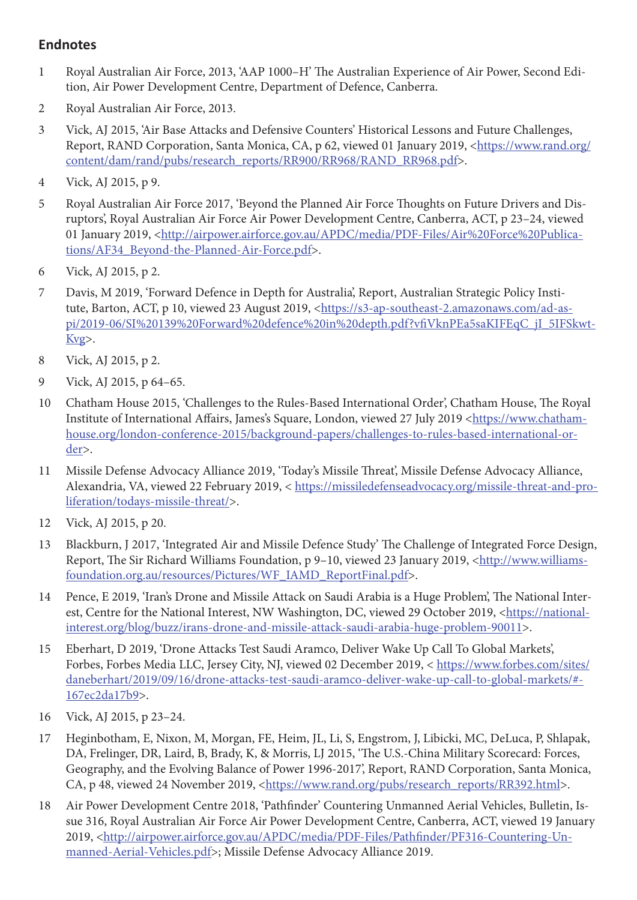# **Endnotes**

- 1 Royal Australian Air Force, 2013, 'AAP 1000–H' The Australian Experience of Air Power, Second Edition, Air Power Development Centre, Department of Defence, Canberra.
- 2 Royal Australian Air Force, 2013.
- 3 Vick, AJ 2015, 'Air Base Attacks and Defensive Counters' Historical Lessons and Future Challenges, Report, RAND Corporation, Santa Monica, CA, p 62, viewed 01 January 2019, <[https://www.rand.org/](https://www.rand.org/content/dam/rand/pubs/research_reports/RR900/RR968/RAND_RR968.pdf) [content/dam/rand/pubs/research\\_reports/RR900/RR968/RAND\\_RR968.pdf>](https://www.rand.org/content/dam/rand/pubs/research_reports/RR900/RR968/RAND_RR968.pdf).
- 4 Vick, AJ 2015, p 9.
- 5 Royal Australian Air Force 2017, 'Beyond the Planned Air Force Thoughts on Future Drivers and Disruptors', Royal Australian Air Force Air Power Development Centre, Canberra, ACT, p 23–24, viewed 01 January 2019, <[http://airpower.airforce.gov.au/APDC/media/PDF-Files/Air%20Force%20Publica](http://airpower.airforce.gov.au/APDC/media/PDF-Files/Air%20Force%20Publications/AF34_Beyond-the-Planned-Air-Force.pdf)[tions/AF34\\_Beyond-the-Planned-Air-Force.pdf](http://airpower.airforce.gov.au/APDC/media/PDF-Files/Air%20Force%20Publications/AF34_Beyond-the-Planned-Air-Force.pdf)>.
- 6 Vick, AJ 2015, p 2.
- 7 Davis, M 2019, 'Forward Defence in Depth for Australia', Report, Australian Strategic Policy Institute, Barton, ACT, p 10, viewed 23 August 2019, [<https://s3-ap-southeast-2.amazonaws.com/ad-as](https://s3-ap-southeast-2.amazonaws.com/ad-aspi/2019-06/SI%20139%20Forward%20defence%20in%20depth.pdf?vfiVknPEa5saKIFEqC_jI_5IFSkwtKvg)[pi/2019-06/SI%20139%20Forward%20defence%20in%20depth.pdf?vfiVknPEa5saKIFEqC\\_jI\\_5IFSkwt-](https://s3-ap-southeast-2.amazonaws.com/ad-aspi/2019-06/SI%20139%20Forward%20defence%20in%20depth.pdf?vfiVknPEa5saKIFEqC_jI_5IFSkwtKvg)[Kvg>](https://s3-ap-southeast-2.amazonaws.com/ad-aspi/2019-06/SI%20139%20Forward%20defence%20in%20depth.pdf?vfiVknPEa5saKIFEqC_jI_5IFSkwtKvg).
- 8 Vick, AJ 2015, p 2.
- 9 Vick, AJ 2015, p 64–65.
- 10 Chatham House 2015, 'Challenges to the Rules-Based International Order', Chatham House, The Royal Institute of International Affairs, James's Square, London, viewed 27 July 2019 <[https://www.chatham](https://www.chathamhouse.org/london-conference-2015/background-papers/challenges-to-rules-based-international-order)[house.org/london-conference-2015/background-papers/challenges-to-rules-based-international-or](https://www.chathamhouse.org/london-conference-2015/background-papers/challenges-to-rules-based-international-order)[der](https://www.chathamhouse.org/london-conference-2015/background-papers/challenges-to-rules-based-international-order)>.
- 11 Missile Defense Advocacy Alliance 2019, 'Today's Missile Threat', Missile Defense Advocacy Alliance, Alexandria, VA, viewed 22 February 2019, < [https://missiledefenseadvocacy.org/missile-threat-and-pro](https://missiledefenseadvocacy.org/missile-threat-and-proliferation/todays-missile-threat/)[liferation/todays-missile-threat/](https://missiledefenseadvocacy.org/missile-threat-and-proliferation/todays-missile-threat/)>.
- 12 Vick, AJ 2015, p 20.
- 13 Blackburn, J 2017, 'Integrated Air and Missile Defence Study' The Challenge of Integrated Force Design, Report, The Sir Richard Williams Foundation, p 9-10, viewed 23 January 2019, [<http://www.williams](http://www.williamsfoundation.org.au/resources/Pictures/WF_IAMD_ReportFinal.pdf)[foundation.org.au/resources/Pictures/WF\\_IAMD\\_ReportFinal.pdf](http://www.williamsfoundation.org.au/resources/Pictures/WF_IAMD_ReportFinal.pdf)>.
- 14 Pence, E 2019, 'Iran's Drone and Missile Attack on Saudi Arabia is a Huge Problem', The National Inter-est, Centre for the National Interest, NW Washington, DC, viewed 29 October 2019, [<https://national](https://nationalinterest.org/blog/buzz/irans-drone-and-missile-attack-saudi-arabia-huge-problem-90011)[interest.org/blog/buzz/irans-drone-and-missile-attack-saudi-arabia-huge-problem-90011](https://nationalinterest.org/blog/buzz/irans-drone-and-missile-attack-saudi-arabia-huge-problem-90011)>.
- 15 Eberhart, D 2019, 'Drone Attacks Test Saudi Aramco, Deliver Wake Up Call To Global Markets', Forbes, Forbes Media LLC, Jersey City, NJ, viewed 02 December 2019, < https://www.forbes.com/sites/ daneberhart/2019/09/16/drone-attacks-test-saudi-aramco-deliver-wake-up-call-to-global-markets/#- 167ec2da17b9>.
- 16 Vick, AJ 2015, p 23–24.
- 17 Heginbotham, E, Nixon, M, Morgan, FE, Heim, JL, Li, S, Engstrom, J, Libicki, MC, DeLuca, P, Shlapak, DA, Frelinger, DR, Laird, B, Brady, K, & Morris, LJ 2015, 'The U.S.-China Military Scorecard: Forces, Geography, and the Evolving Balance of Power 1996-2017', Report, RAND Corporation, Santa Monica, CA, p 48, viewed 24 November 2019, [<https://www.rand.org/pubs/research\\_reports/RR392.html>](https://www.rand.org/pubs/research_reports/RR392.html).
- 18 Air Power Development Centre 2018, 'Pathfinder' Countering Unmanned Aerial Vehicles, Bulletin, Issue 316, Royal Australian Air Force Air Power Development Centre, Canberra, ACT, viewed 19 January 2019, <[http://airpower.airforce.gov.au/APDC/media/PDF-Files/Pathfinder/PF316-Countering-Un](http://airpower.airforce.gov.au/APDC/media/PDF-Files/Pathfinder/PF316-Countering-Unmanned-Aerial-Vehicles.pdf)[manned-Aerial-Vehicles.pdf](http://airpower.airforce.gov.au/APDC/media/PDF-Files/Pathfinder/PF316-Countering-Unmanned-Aerial-Vehicles.pdf)>; Missile Defense Advocacy Alliance 2019.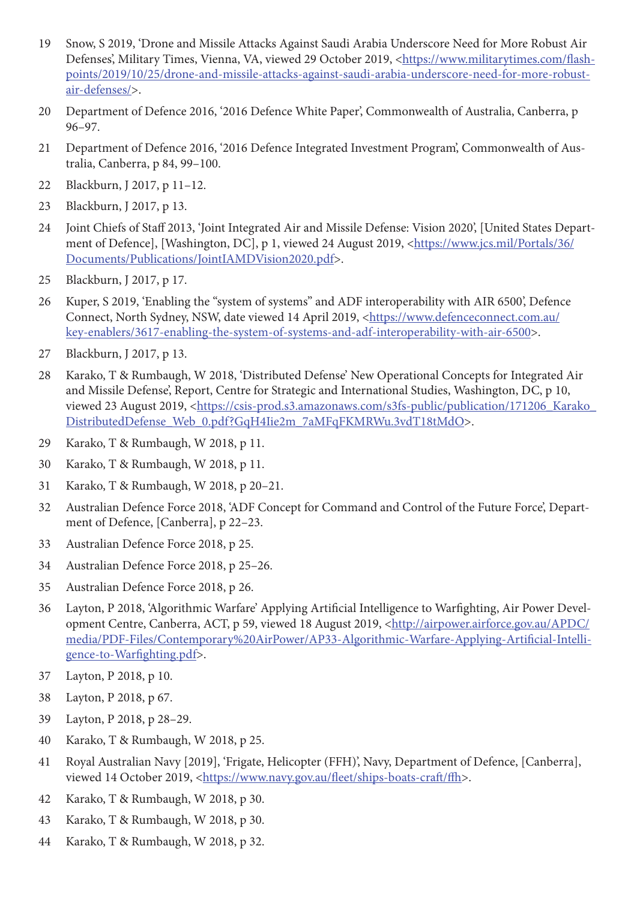- Snow, S 2019, 'Drone and Missile Attacks Against Saudi Arabia Underscore Need for More Robust Air Defenses', Military Times, Vienna, VA, viewed 29 October 2019, [<https://www.militarytimes.com/flash](https://www.militarytimes.com/flashpoints/2019/10/25/drone-and-missile-attacks-against-saudi-arabia-underscore-need-for-more-robust-air-defenses/)[points/2019/10/25/drone-and-missile-attacks-against-saudi-arabia-underscore-need-for-more-robust](https://www.militarytimes.com/flashpoints/2019/10/25/drone-and-missile-attacks-against-saudi-arabia-underscore-need-for-more-robust-air-defenses/)[air-defenses/>](https://www.militarytimes.com/flashpoints/2019/10/25/drone-and-missile-attacks-against-saudi-arabia-underscore-need-for-more-robust-air-defenses/).
- Department of Defence 2016, '2016 Defence White Paper', Commonwealth of Australia, Canberra, p 96–97.
- Department of Defence 2016, '2016 Defence Integrated Investment Program', Commonwealth of Australia, Canberra, p 84, 99–100.
- Blackburn, J 2017, p 11–12.
- Blackburn, J 2017, p 13.
- Joint Chiefs of Staff 2013, 'Joint Integrated Air and Missile Defense: Vision 2020', [United States Depart-ment of Defence], [Washington, DC], p 1, viewed 24 August 2019, [<https://www.jcs.mil/Portals/36/](https://www.jcs.mil/Portals/36/Documents/Publications/JointIAMDVision2020.pdf) [Documents/Publications/JointIAMDVision2020.pdf](https://www.jcs.mil/Portals/36/Documents/Publications/JointIAMDVision2020.pdf)>.
- Blackburn, J 2017, p 17.
- Kuper, S 2019, 'Enabling the "system of systems" and ADF interoperability with AIR 6500', Defence Connect, North Sydney, NSW, date viewed 14 April 2019, [<https://www.defenceconnect.com.au/](https://www.defenceconnect.com.au/key-enablers/3617-enabling-the-system-of-systems-and-adf-interoperability-with-air-6500) [key-enablers/3617-enabling-the-system-of-systems-and-adf-interoperability-with-air-6500](https://www.defenceconnect.com.au/key-enablers/3617-enabling-the-system-of-systems-and-adf-interoperability-with-air-6500)>.
- Blackburn, J 2017, p 13.
- Karako, T & Rumbaugh, W 2018, 'Distributed Defense' New Operational Concepts for Integrated Air and Missile Defense', Report, Centre for Strategic and International Studies, Washington, DC, p 10, viewed 23 August 2019, [<https://csis-prod.s3.amazonaws.com/s3fs-public/publication/171206\\_Karako\\_](https://csis-prod.s3.amazonaws.com/s3fs-public/publication/171206_Karako_DistributedDefense_Web_0.pdf?GqH4Iie2m_7aMFqFKMRWu.3vdT18tMdO) [DistributedDefense\\_Web\\_0.pdf?GqH4Iie2m\\_7aMFqFKMRWu.3vdT18tMdO>](https://csis-prod.s3.amazonaws.com/s3fs-public/publication/171206_Karako_DistributedDefense_Web_0.pdf?GqH4Iie2m_7aMFqFKMRWu.3vdT18tMdO).
- Karako, T & Rumbaugh, W 2018, p 11.
- Karako, T & Rumbaugh, W 2018, p 11.
- Karako, T & Rumbaugh, W 2018, p 20–21.
- Australian Defence Force 2018, 'ADF Concept for Command and Control of the Future Force', Department of Defence, [Canberra], p 22–23.
- Australian Defence Force 2018, p 25.
- Australian Defence Force 2018, p 25–26.
- Australian Defence Force 2018, p 26.
- Layton, P 2018, 'Algorithmic Warfare' Applying Artificial Intelligence to Warfighting, Air Power Devel-opment Centre, Canberra, ACT, p 59, viewed 18 August 2019, [<http://airpower.airforce.gov.au/APDC/](http://airpower.airforce.gov.au/APDC/media/PDF-Files/Contemporary%20AirPower/AP33-Algorithmic-Warfare-Applying-Artificial-Intelligence-to-Warfighting.pdf) [media/PDF-Files/Contemporary%20AirPower/AP33-Algorithmic-Warfare-Applying-Artificial-Intelli](http://airpower.airforce.gov.au/APDC/media/PDF-Files/Contemporary%20AirPower/AP33-Algorithmic-Warfare-Applying-Artificial-Intelligence-to-Warfighting.pdf)[gence-to-Warfighting.pdf>](http://airpower.airforce.gov.au/APDC/media/PDF-Files/Contemporary%20AirPower/AP33-Algorithmic-Warfare-Applying-Artificial-Intelligence-to-Warfighting.pdf).
- Layton, P 2018, p 10.
- Layton, P 2018, p 67.
- Layton, P 2018, p 28–29.
- Karako, T & Rumbaugh, W 2018, p 25.
- Royal Australian Navy [2019], 'Frigate, Helicopter (FFH)', Navy, Department of Defence, [Canberra], viewed 14 October 2019, <<https://www.navy.gov.au/fleet/ships-boats-craft/ffh>>.
- Karako, T & Rumbaugh, W 2018, p 30.
- Karako, T & Rumbaugh, W 2018, p 30.
- Karako, T & Rumbaugh, W 2018, p 32.